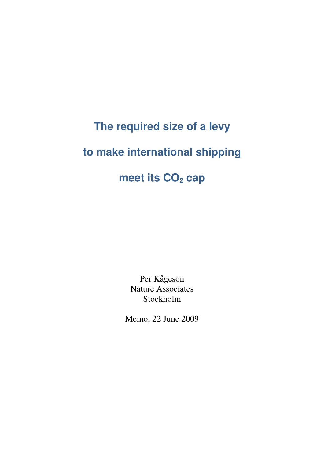# **The required size of a levy**

# **to make international shipping**

# **meet its CO2 cap**

Per Kågeson Nature Associates Stockholm

Memo, 22 June 2009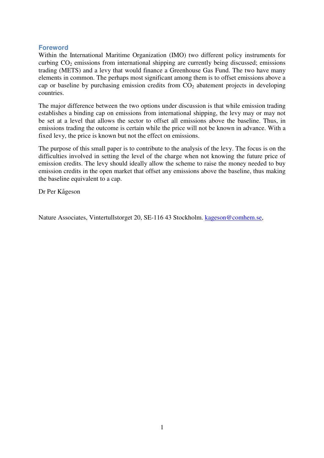# **Foreword**

Within the International Maritime Organization (IMO) two different policy instruments for curbing  $CO<sub>2</sub>$  emissions from international shipping are currently being discussed; emissions trading (METS) and a levy that would finance a Greenhouse Gas Fund. The two have many elements in common. The perhaps most significant among them is to offset emissions above a cap or baseline by purchasing emission credits from  $CO<sub>2</sub>$  abatement projects in developing countries.

The major difference between the two options under discussion is that while emission trading establishes a binding cap on emissions from international shipping, the levy may or may not be set at a level that allows the sector to offset all emissions above the baseline. Thus, in emissions trading the outcome is certain while the price will not be known in advance. With a fixed levy, the price is known but not the effect on emissions.

The purpose of this small paper is to contribute to the analysis of the levy. The focus is on the difficulties involved in setting the level of the charge when not knowing the future price of emission credits. The levy should ideally allow the scheme to raise the money needed to buy emission credits in the open market that offset any emissions above the baseline, thus making the baseline equivalent to a cap.

Dr Per Kågeson

Nature Associates, Vintertullstorget 20, SE-116 43 Stockholm. kageson@comhem.se,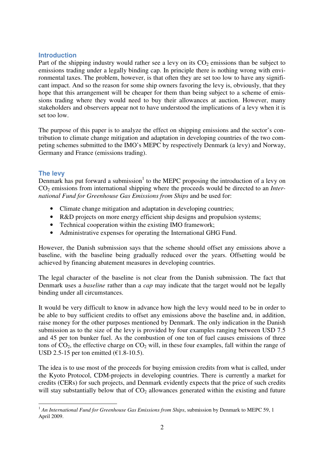## **Introduction**

Part of the shipping industry would rather see a levy on its  $CO<sub>2</sub>$  emissions than be subject to emissions trading under a legally binding cap. In principle there is nothing wrong with environmental taxes. The problem, however, is that often they are set too low to have any significant impact. And so the reason for some ship owners favoring the levy is, obviously, that they hope that this arrangement will be cheaper for them than being subject to a scheme of emissions trading where they would need to buy their allowances at auction. However, many stakeholders and observers appear not to have understood the implications of a levy when it is set too low.

The purpose of this paper is to analyze the effect on shipping emissions and the sector's contribution to climate change mitigation and adaptation in developing countries of the two competing schemes submitted to the IMO's MEPC by respectively Denmark (a levy) and Norway, Germany and France (emissions trading).

# **The levy**

Denmark has put forward a submission<sup>1</sup> to the MEPC proposing the introduction of a levy on CO<sub>2</sub> emissions from international shipping where the proceeds would be directed to an *International Fund for Greenhouse Gas Emissions from Ships* and be used for:

- Climate change mitigation and adaptation in developing countries;
- R&D projects on more energy efficient ship designs and propulsion systems;
- Technical cooperation within the existing IMO framework;
- Administrative expenses for operating the International GHG Fund.

However, the Danish submission says that the scheme should offset any emissions above a baseline, with the baseline being gradually reduced over the years. Offsetting would be achieved by financing abatement measures in developing countries.

The legal character of the baseline is not clear from the Danish submission. The fact that Denmark uses a *baseline* rather than a *cap* may indicate that the target would not be legally binding under all circumstances.

It would be very difficult to know in advance how high the levy would need to be in order to be able to buy sufficient credits to offset any emissions above the baseline and, in addition, raise money for the other purposes mentioned by Denmark. The only indication in the Danish submission as to the size of the levy is provided by four examples ranging between USD 7.5 and 45 per ton bunker fuel. As the combustion of one ton of fuel causes emissions of three tons of  $CO_2$ , the effective charge on  $CO_2$  will, in these four examples, fall within the range of USD 2.5-15 per ton emitted  $(\text{\textsterling}1.8-10.5)$ .

The idea is to use most of the proceeds for buying emission credits from what is called, under the Kyoto Protocol, CDM-projects in developing countries. There is currently a market for credits (CERs) for such projects, and Denmark evidently expects that the price of such credits will stay substantially below that of  $CO<sub>2</sub>$  allowances generated within the existing and future

 $\overline{a}$ <sup>1</sup> An International Fund for Greenhouse Gas Emissions from Ships, submission by Denmark to MEPC 59, 1 April 2009.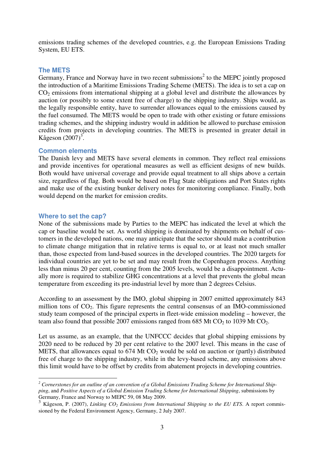emissions trading schemes of the developed countries, e.g. the European Emissions Trading System, EU ETS.

## **The METS**

Germany, France and Norway have in two recent submissions<sup>2</sup> to the MEPC jointly proposed the introduction of a Maritime Emissions Trading Scheme (METS). The idea is to set a cap on  $CO<sub>2</sub>$  emissions from international shipping at a global level and distribute the allowances by auction (or possibly to some extent free of charge) to the shipping industry. Ships would, as the legally responsible entity, have to surrender allowances equal to the emissions caused by the fuel consumed. The METS would be open to trade with other existing or future emissions trading schemes, and the shipping industry would in addition be allowed to purchase emission credits from projects in developing countries. The METS is presented in greater detail in Kågeson  $(2007)^3$ .

## **Common elements**

The Danish levy and METS have several elements in common. They reflect real emissions and provide incentives for operational measures as well as efficient designs of new builds. Both would have universal coverage and provide equal treatment to all ships above a certain size, regardless of flag. Both would be based on Flag State obligations and Port States rights and make use of the existing bunker delivery notes for monitoring compliance. Finally, both would depend on the market for emission credits.

#### **Where to set the cap?**

 $\overline{a}$ 

None of the submissions made by Parties to the MEPC has indicated the level at which the cap or baseline would be set. As world shipping is dominated by shipments on behalf of customers in the developed nations, one may anticipate that the sector should make a contribution to climate change mitigation that in relative terms is equal to, or at least not much smaller than, those expected from land-based sources in the developed countries. The 2020 targets for individual countries are yet to be set and may result from the Copenhagen process. Anything less than minus 20 per cent, counting from the 2005 levels, would be a disappointment. Actually more is required to stabilize GHG concentrations at a level that prevents the global mean temperature from exceeding its pre-industrial level by more than 2 degrees Celsius.

According to an assessment by the IMO, global shipping in 2007 emitted approximately 843 million tons of  $CO<sub>2</sub>$ . This figure represents the central consensus of an IMO-commissioned study team composed of the principal experts in fleet-wide emission modeling – however, the team also found that possible 2007 emissions ranged from  $685$  Mt CO<sub>2</sub> to 1039 Mt CO<sub>2</sub>.

Let us assume, as an example, that the UNFCCC decides that global shipping emissions by 2020 need to be reduced by 20 per cent relative to the 2007 level. This means in the case of METS, that allowances equal to  $674$  Mt  $CO<sub>2</sub>$  would be sold on auction or (partly) distributed free of charge to the shipping industry, while in the levy-based scheme, any emissions above this limit would have to be offset by credits from abatement projects in developing countries.

<sup>&</sup>lt;sup>2</sup> Cornerstones for an outline of an convention of a Global Emissions Trading Scheme for International Ship*ping*, and *Positive Aspects of a Global Emission Trading Scheme for International Shipping*, submissions by Germany, France and Norway to MEPC 59, 08 May 2009.

<sup>3</sup> Kågeson, P. (2007), *Linking CO2 Emissions from International Shipping to the EU ETS*. A report commissioned by the Federal Environment Agency, Germany, 2 July 2007.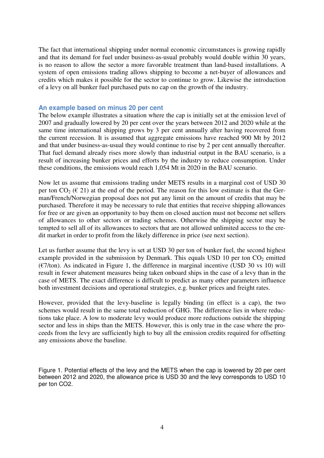The fact that international shipping under normal economic circumstances is growing rapidly and that its demand for fuel under business-as-usual probably would double within 30 years, is no reason to allow the sector a more favorable treatment than land-based installations. A system of open emissions trading allows shipping to become a net-buyer of allowances and credits which makes it possible for the sector to continue to grow. Likewise the introduction of a levy on all bunker fuel purchased puts no cap on the growth of the industry.

#### **An example based on minus 20 per cent**

The below example illustrates a situation where the cap is initially set at the emission level of 2007 and gradually lowered by 20 per cent over the years between 2012 and 2020 while at the same time international shipping grows by 3 per cent annually after having recovered from the current recession. It is assumed that aggregate emissions have reached 900 Mt by 2012 and that under business-as-usual they would continue to rise by 2 per cent annually thereafter. That fuel demand already rises more slowly than industrial output in the BAU scenario, is a result of increasing bunker prices and efforts by the industry to reduce consumption. Under these conditions, the emissions would reach 1,054 Mt in 2020 in the BAU scenario.

Now let us assume that emissions trading under METS results in a marginal cost of USD 30 per ton  $CO_2$  ( $\in$  21) at the end of the period. The reason for this low estimate is that the German/French/Norwegian proposal does not put any limit on the amount of credits that may be purchased. Therefore it may be necessary to rule that entities that receive shipping allowances for free or are given an opportunity to buy them on closed auction must not become net sellers of allowances to other sectors or trading schemes. Otherwise the shipping sector may be tempted to sell all of its allowances to sectors that are not allowed unlimited access to the credit market in order to profit from the likely difference in price (see next section).

Let us further assume that the levy is set at USD 30 per ton of bunker fuel, the second highest example provided in the submission by Denmark. This equals USD 10 per ton  $CO<sub>2</sub>$  emitted  $(E7/ton)$ . As indicated in Figure 1, the difference in marginal incentive (USD 30 vs 10) will result in fewer abatement measures being taken onboard ships in the case of a levy than in the case of METS. The exact difference is difficult to predict as many other parameters influence both investment decisions and operational strategies, e.g. bunker prices and freight rates.

However, provided that the levy-baseline is legally binding (in effect is a cap), the two schemes would result in the same total reduction of GHG. The difference lies in where reductions take place. A low to moderate levy would produce more reductions outside the shipping sector and less in ships than the METS. However, this is only true in the case where the proceeds from the levy are sufficiently high to buy all the emission credits required for offsetting any emissions above the baseline.

Figure 1. Potential effects of the levy and the METS when the cap is lowered by 20 per cent between 2012 and 2020, the allowance price is USD 30 and the levy corresponds to USD 10 per ton CO2.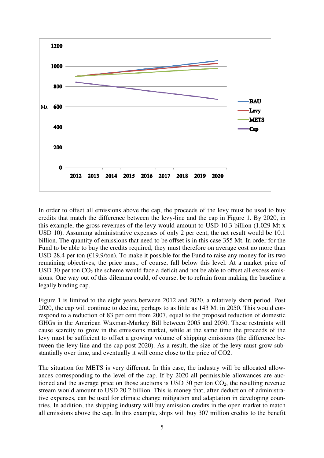

In order to offset all emissions above the cap, the proceeds of the levy must be used to buy credits that match the difference between the levy-line and the cap in Figure 1. By 2020, in this example, the gross revenues of the levy would amount to USD 10.3 billion (1,029 Mt x USD 10). Assuming administrative expenses of only 2 per cent, the net result would be 10.1 billion. The quantity of emissions that need to be offset is in this case 355 Mt. In order for the Fund to be able to buy the credits required, they must therefore on average cost no more than USD 28.4 per ton ( $E19.9$ /ton). To make it possible for the Fund to raise any money for its two remaining objectives, the price must, of course, fall below this level. At a market price of USD 30 per ton  $CO<sub>2</sub>$  the scheme would face a deficit and not be able to offset all excess emissions. One way out of this dilemma could, of course, be to refrain from making the baseline a legally binding cap.

Figure 1 is limited to the eight years between 2012 and 2020, a relatively short period. Post 2020, the cap will continue to decline, perhaps to as little as 143 Mt in 2050. This would correspond to a reduction of 83 per cent from 2007, equal to the proposed reduction of domestic GHGs in the American Waxman-Markey Bill between 2005 and 2050. These restraints will cause scarcity to grow in the emissions market, while at the same time the proceeds of the levy must be sufficient to offset a growing volume of shipping emissions (the difference between the levy-line and the cap post 2020). As a result, the size of the levy must grow substantially over time, and eventually it will come close to the price of CO2.

The situation for METS is very different. In this case, the industry will be allocated allowances corresponding to the level of the cap. If by 2020 all permissible allowances are auctioned and the average price on those auctions is USD 30 per ton  $CO<sub>2</sub>$ , the resulting revenue stream would amount to USD 20.2 billion. This is money that, after deduction of administrative expenses, can be used for climate change mitigation and adaptation in developing countries. In addition, the shipping industry will buy emission credits in the open market to match all emissions above the cap. In this example, ships will buy 307 million credits to the benefit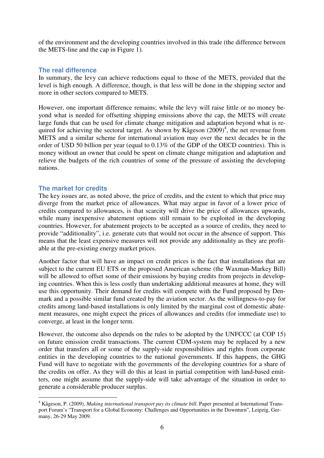of the environment and the developing countries involved in this trade (the difference between the METS-line and the cap in Figure 1).

# **The real difference**

In summary, the levy can achieve reductions equal to those of the METS, provided that the level is high enough. A difference, though, is that less will be done in the shipping sector and more in other sectors compared to METS.

However, one important difference remains; while the levy will raise little or no money beyond what is needed for offsetting shipping emissions above the cap, the METS will create large funds that can be used for climate change mitigation and adaptation beyond what is required for achieving the sectoral target. As shown by Kågeson  $(2009)^4$ , the net revenue from METS and a similar scheme for international aviation may over the next decades be in the order of USD 50 billion per year (equal to 0.13% of the GDP of the OECD countries). This is money without an owner that could be spent on climate change mitigation and adaptation and relieve the budgets of the rich countries of some of the pressure of assisting the developing nations.

## **The market for credits**

The key issues are, as noted above, the price of credits, and the extent to which that price may diverge from the market price of allowances. What may argue in favor of a lower price of credits compared to allowances, is that scarcity will drive the price of allowances upwards, while many inexpensive abatement options still remain to be exploited in the developing countries. However, for abatement projects to be accepted as a source of credits, they need to provide "additionality", i.e. generate cuts that would not occur in the absence of support. This means that the least expensive measures will not provide any additionality as they are profitable at the pre-existing energy market prices.

Another factor that will have an impact on credit prices is the fact that installations that are subject to the current EU ETS or the proposed American scheme (the Waxman-Markey Bill) will be allowed to offset some of their emissions by buying credits from projects in developing countries. When this is less costly than undertaking additional measures at home, they will use this opportunity. Their demand for credits will compete with the Fund proposed by Denmark and a possible similar fund created by the aviation sector. As the willingness-to-pay for credits among land-based installations is only limited by the marginal cost of domestic abatement measures, one might expect the prices of allowances and credits (for immediate use) to converge, at least in the longer term.

However, the outcome also depends on the rules to be adopted by the UNFCCC (at COP 15) on future emission credit transactions. The current CDM-system may be replaced by a new order that transfers all or some of the supply-side responsibilities and rights from corporate entities in the developing countries to the national governments. If this happens, the GHG Fund will have to negotiate with the governments of the developing countries for a share of the credits on offer. As they will do this at least in partial competition with land-based emitters, one might assume that the supply-side will take advantage of the situation in order to generate a considerable producer surplus.

 $\overline{a}$ 4 Kågeson, P. (2009), *Making international transport pay its climate bill*. Paper presented at International Transport Forum's "Transport for a Global Economy: Challenges and Opportunities in the Downturn", Leipzig, Germany, 26-29 May 2009.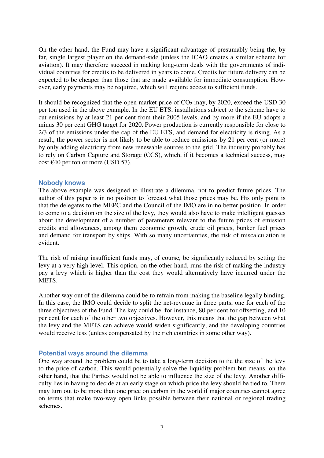On the other hand, the Fund may have a significant advantage of presumably being the, by far, single largest player on the demand-side (unless the ICAO creates a similar scheme for aviation). It may therefore succeed in making long-term deals with the governments of individual countries for credits to be delivered in years to come. Credits for future delivery can be expected to be cheaper than those that are made available for immediate consumption. However, early payments may be required, which will require access to sufficient funds.

It should be recognized that the open market price of  $CO<sub>2</sub>$  may, by 2020, exceed the USD 30 per ton used in the above example. In the EU ETS, installations subject to the scheme have to cut emissions by at least 21 per cent from their 2005 levels, and by more if the EU adopts a minus 30 per cent GHG target for 2020. Power production is currently responsible for close to 2/3 of the emissions under the cap of the EU ETS, and demand for electricity is rising. As a result, the power sector is not likely to be able to reduce emissions by 21 per cent (or more) by only adding electricity from new renewable sources to the grid. The industry probably has to rely on Carbon Capture and Storage (CCS), which, if it becomes a technical success, may cost  $\epsilon$ 40 per ton or more (USD 57).

## **Nobody knows**

The above example was designed to illustrate a dilemma, not to predict future prices. The author of this paper is in no position to forecast what those prices may be. His only point is that the delegates to the MEPC and the Council of the IMO are in no better position. In order to come to a decision on the size of the levy, they would also have to make intelligent guesses about the development of a number of parameters relevant to the future prices of emission credits and allowances, among them economic growth, crude oil prices, bunker fuel prices and demand for transport by ships. With so many uncertainties, the risk of miscalculation is evident.

The risk of raising insufficient funds may, of course, be significantly reduced by setting the levy at a very high level. This option, on the other hand, runs the risk of making the industry pay a levy which is higher than the cost they would alternatively have incurred under the METS.

Another way out of the dilemma could be to refrain from making the baseline legally binding. In this case, the IMO could decide to split the net-revenue in three parts, one for each of the three objectives of the Fund. The key could be, for instance, 80 per cent for offsetting, and 10 per cent for each of the other two objectives. However, this means that the gap between what the levy and the METS can achieve would widen significantly, and the developing countries would receive less (unless compensated by the rich countries in some other way).

## **Potential ways around the dilemma**

One way around the problem could be to take a long-term decision to tie the size of the levy to the price of carbon. This would potentially solve the liquidity problem but means, on the other hand, that the Parties would not be able to influence the size of the levy. Another difficulty lies in having to decide at an early stage on which price the levy should be tied to. There may turn out to be more than one price on carbon in the world if major countries cannot agree on terms that make two-way open links possible between their national or regional trading schemes.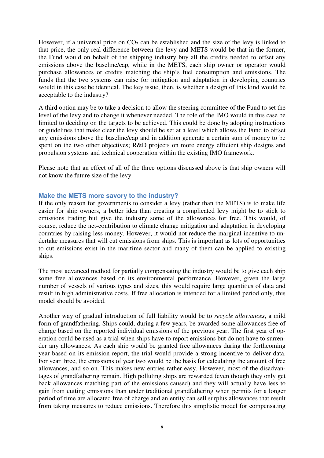However, if a universal price on  $CO<sub>2</sub>$  can be established and the size of the levy is linked to that price, the only real difference between the levy and METS would be that in the former, the Fund would on behalf of the shipping industry buy all the credits needed to offset any emissions above the baseline/cap, while in the METS, each ship owner or operator would purchase allowances or credits matching the ship's fuel consumption and emissions. The funds that the two systems can raise for mitigation and adaptation in developing countries would in this case be identical. The key issue, then, is whether a design of this kind would be acceptable to the industry?

A third option may be to take a decision to allow the steering committee of the Fund to set the level of the levy and to change it whenever needed. The role of the IMO would in this case be limited to deciding on the targets to be achieved. This could be done by adopting instructions or guidelines that make clear the levy should be set at a level which allows the Fund to offset any emissions above the baseline/cap and in addition generate a certain sum of money to be spent on the two other objectives; R&D projects on more energy efficient ship designs and propulsion systems and technical cooperation within the existing IMO framework.

Please note that an effect of all of the three options discussed above is that ship owners will not know the future size of the levy.

## **Make the METS more savory to the industry?**

If the only reason for governments to consider a levy (rather than the METS) is to make life easier for ship owners, a better idea than creating a complicated levy might be to stick to emissions trading but give the industry some of the allowances for free. This would, of course, reduce the net-contribution to climate change mitigation and adaptation in developing countries by raising less money. However, it would not reduce the marginal incentive to undertake measures that will cut emissions from ships. This is important as lots of opportunities to cut emissions exist in the maritime sector and many of them can be applied to existing ships.

The most advanced method for partially compensating the industry would be to give each ship some free allowances based on its environmental performance. However, given the large number of vessels of various types and sizes, this would require large quantities of data and result in high administrative costs. If free allocation is intended for a limited period only, this model should be avoided.

Another way of gradual introduction of full liability would be to *recycle allowances*, a mild form of grandfathering. Ships could, during a few years, be awarded some allowances free of charge based on the reported individual emissions of the previous year. The first year of operation could be used as a trial when ships have to report emissions but do not have to surrender any allowances. As each ship would be granted free allowances during the forthcoming year based on its emission report, the trial would provide a strong incentive to deliver data. For year three, the emissions of year two would be the basis for calculating the amount of free allowances, and so on. This makes new entries rather easy. However, most of the disadvantages of grandfathering remain. High polluting ships are rewarded (even though they only get back allowances matching part of the emissions caused) and they will actually have less to gain from cutting emissions than under traditional grandfathering when permits for a longer period of time are allocated free of charge and an entity can sell surplus allowances that result from taking measures to reduce emissions. Therefore this simplistic model for compensating